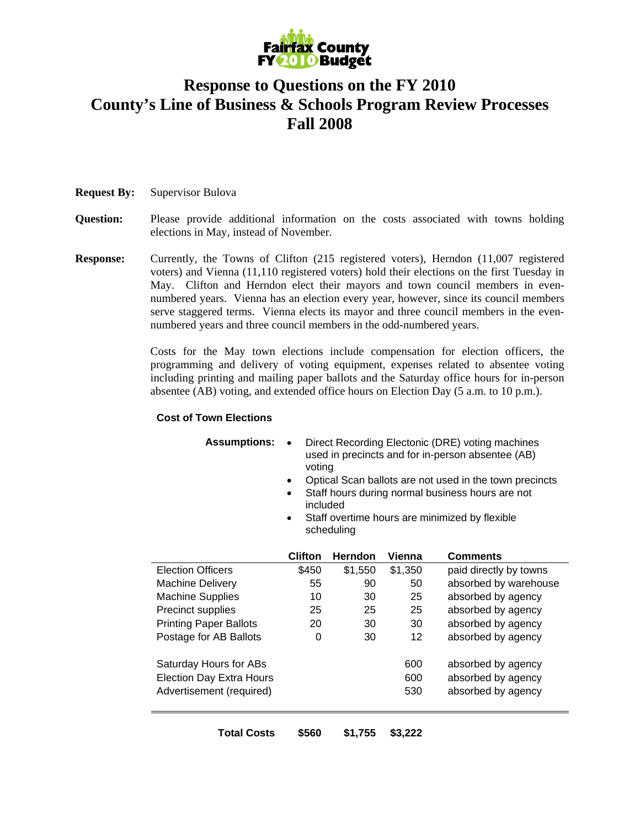

# **Response to Questions on the FY 2010 County's Line of Business & Schools Program Review Processes Fall 2008**

## **Request By:** Supervisor Bulova

- **Question:** Please provide additional information on the costs associated with towns holding elections in May, instead of November.
- **Response:** Currently, the Towns of Clifton (215 registered voters), Herndon (11,007 registered voters) and Vienna (11,110 registered voters) hold their elections on the first Tuesday in May. Clifton and Herndon elect their mayors and town council members in evennumbered years. Vienna has an election every year, however, since its council members serve staggered terms. Vienna elects its mayor and three council members in the evennumbered years and three council members in the odd-numbered years.

 Costs for the May town elections include compensation for election officers, the programming and delivery of voting equipment, expenses related to absentee voting including printing and mailing paper ballots and the Saturday office hours for in-person absentee (AB) voting, and extended office hours on Election Day (5 a.m. to 10 p.m.).

#### **Cost of Town Elections**

| <b>Assumptions:</b>             | Direct Recording Electonic (DRE) voting machines<br>used in precincts and for in-person absentee (AB)<br>voting<br>Optical Scan ballots are not used in the town precincts<br>Staff hours during normal business hours are not<br>included<br>Staff overtime hours are minimized by flexible<br>scheduling |                |                   |                        |  |  |  |
|---------------------------------|------------------------------------------------------------------------------------------------------------------------------------------------------------------------------------------------------------------------------------------------------------------------------------------------------------|----------------|-------------------|------------------------|--|--|--|
|                                 | <b>Clifton</b>                                                                                                                                                                                                                                                                                             | <b>Herndon</b> | Vienna            | <b>Comments</b>        |  |  |  |
| <b>Election Officers</b>        | \$450                                                                                                                                                                                                                                                                                                      | \$1,550        | \$1,350           | paid directly by towns |  |  |  |
| <b>Machine Delivery</b>         | 55                                                                                                                                                                                                                                                                                                         | 90             | 50                | absorbed by warehouse  |  |  |  |
| <b>Machine Supplies</b>         | 10                                                                                                                                                                                                                                                                                                         | 30             | 25                | absorbed by agency     |  |  |  |
| Precinct supplies               | 25                                                                                                                                                                                                                                                                                                         | 25             | 25                | absorbed by agency     |  |  |  |
| <b>Printing Paper Ballots</b>   | 20                                                                                                                                                                                                                                                                                                         | 30             | 30                | absorbed by agency     |  |  |  |
| Postage for AB Ballots          | 0                                                                                                                                                                                                                                                                                                          | 30             | $12 \overline{ }$ | absorbed by agency     |  |  |  |
| Saturday Hours for ABs          |                                                                                                                                                                                                                                                                                                            |                | 600               | absorbed by agency     |  |  |  |
| <b>Election Day Extra Hours</b> |                                                                                                                                                                                                                                                                                                            |                | 600               | absorbed by agency     |  |  |  |
| Advertisement (required)        |                                                                                                                                                                                                                                                                                                            |                | 530               | absorbed by agency     |  |  |  |
|                                 |                                                                                                                                                                                                                                                                                                            |                |                   |                        |  |  |  |

**Total Costs \$560 \$1,755 \$3,222**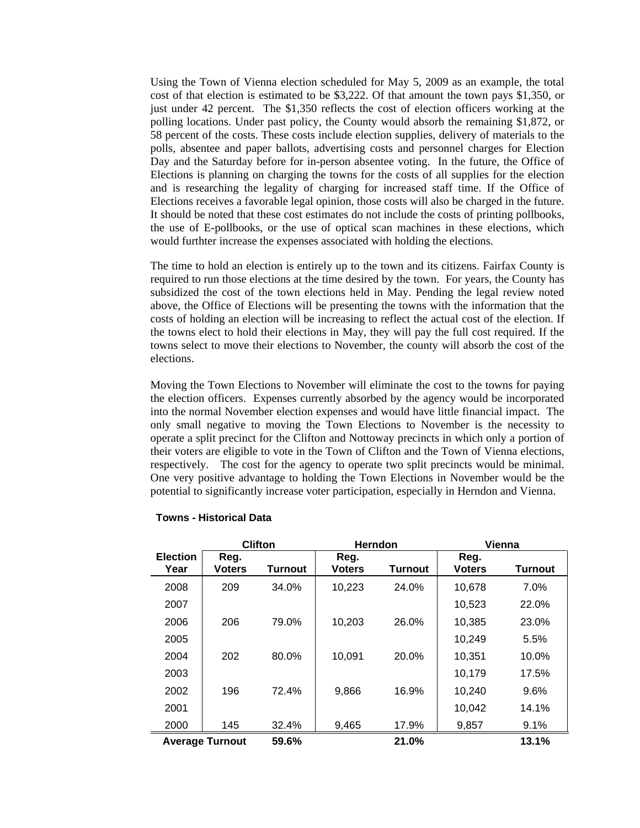Using the Town of Vienna election scheduled for May 5, 2009 as an example, the total cost of that election is estimated to be \$3,222. Of that amount the town pays \$1,350, or just under 42 percent. The \$1,350 reflects the cost of election officers working at the polling locations. Under past policy, the County would absorb the remaining \$1,872, or 58 percent of the costs. These costs include election supplies, delivery of materials to the polls, absentee and paper ballots, advertising costs and personnel charges for Election Day and the Saturday before for in-person absentee voting. In the future, the Office of Elections is planning on charging the towns for the costs of all supplies for the election and is researching the legality of charging for increased staff time. If the Office of Elections receives a favorable legal opinion, those costs will also be charged in the future. It should be noted that these cost estimates do not include the costs of printing pollbooks, the use of E-pollbooks, or the use of optical scan machines in these elections, which would furthter increase the expenses associated with holding the elections.

The time to hold an election is entirely up to the town and its citizens. Fairfax County is required to run those elections at the time desired by the town. For years, the County has subsidized the cost of the town elections held in May. Pending the legal review noted above, the Office of Elections will be presenting the towns with the information that the costs of holding an election will be increasing to reflect the actual cost of the election. If the towns elect to hold their elections in May, they will pay the full cost required. If the towns select to move their elections to November, the county will absorb the cost of the elections.

Moving the Town Elections to November will eliminate the cost to the towns for paying the election officers. Expenses currently absorbed by the agency would be incorporated into the normal November election expenses and would have little financial impact. The only small negative to moving the Town Elections to November is the necessity to operate a split precinct for the Clifton and Nottoway precincts in which only a portion of their voters are eligible to vote in the Town of Clifton and the Town of Vienna elections, respectively. The cost for the agency to operate two split precincts would be minimal. One very positive advantage to holding the Town Elections in November would be the potential to significantly increase voter participation, especially in Herndon and Vienna.

|                         | <b>Clifton</b>         |                | <b>Herndon</b>        |                | Vienna                |                |
|-------------------------|------------------------|----------------|-----------------------|----------------|-----------------------|----------------|
| <b>Election</b><br>Year | Reg.<br><b>Voters</b>  | <b>Turnout</b> | Reg.<br><b>Voters</b> | <b>Turnout</b> | Reg.<br><b>Voters</b> | <b>Turnout</b> |
| 2008                    | 209                    | 34.0%          | 10,223                | 24.0%          | 10,678                | 7.0%           |
| 2007                    |                        |                |                       |                | 10,523                | 22.0%          |
| 2006                    | 206                    | 79.0%          | 10,203                | 26.0%          | 10,385                | 23.0%          |
| 2005                    |                        |                |                       |                | 10,249                | 5.5%           |
| 2004                    | 202                    | 80.0%          | 10,091                | 20.0%          | 10,351                | 10.0%          |
| 2003                    |                        |                |                       |                | 10,179                | 17.5%          |
| 2002                    | 196                    | 72.4%          | 9,866                 | 16.9%          | 10,240                | 9.6%           |
| 2001                    |                        |                |                       |                | 10,042                | 14.1%          |
| 2000                    | 145                    | 32.4%          | 9,465                 | 17.9%          | 9,857                 | 9.1%           |
|                         | <b>Average Turnout</b> | 59.6%          |                       | 21.0%          |                       | 13.1%          |

# **Towns - Historical Data**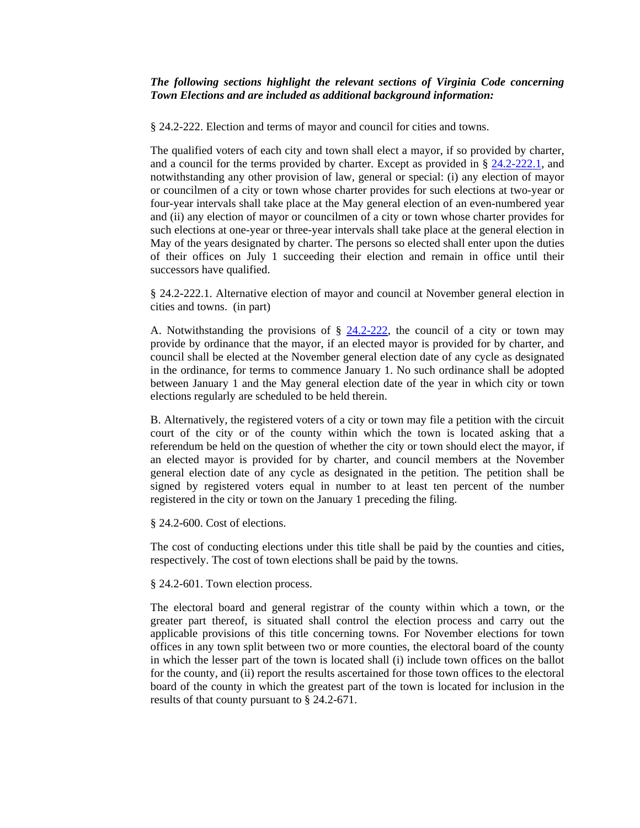### *The following sections highlight the relevant sections of Virginia Code concerning Town Elections and are included as additional background information:*

§ 24.2-222. Election and terms of mayor and council for cities and towns.

The qualified voters of each city and town shall elect a mayor, if so provided by charter, and a council for the terms provided by charter. Except as provided in § 24.2-222.1, and notwithstanding any other provision of law, general or special: (i) any election of mayor or councilmen of a city or town whose charter provides for such elections at two-year or four-year intervals shall take place at the May general election of an even-numbered year and (ii) any election of mayor or councilmen of a city or town whose charter provides for such elections at one-year or three-year intervals shall take place at the general election in May of the years designated by charter. The persons so elected shall enter upon the duties of their offices on July 1 succeeding their election and remain in office until their successors have qualified.

§ 24.2-222.1. Alternative election of mayor and council at November general election in cities and towns. (in part)

A. Notwithstanding the provisions of  $\S$  24.2-222, the council of a city or town may provide by ordinance that the mayor, if an elected mayor is provided for by charter, and council shall be elected at the November general election date of any cycle as designated in the ordinance, for terms to commence January 1. No such ordinance shall be adopted between January 1 and the May general election date of the year in which city or town elections regularly are scheduled to be held therein.

B. Alternatively, the registered voters of a city or town may file a petition with the circuit court of the city or of the county within which the town is located asking that a referendum be held on the question of whether the city or town should elect the mayor, if an elected mayor is provided for by charter, and council members at the November general election date of any cycle as designated in the petition. The petition shall be signed by registered voters equal in number to at least ten percent of the number registered in the city or town on the January 1 preceding the filing.

§ 24.2-600. Cost of elections.

The cost of conducting elections under this title shall be paid by the counties and cities, respectively. The cost of town elections shall be paid by the towns.

§ 24.2-601. Town election process.

The electoral board and general registrar of the county within which a town, or the greater part thereof, is situated shall control the election process and carry out the applicable provisions of this title concerning towns. For November elections for town offices in any town split between two or more counties, the electoral board of the county in which the lesser part of the town is located shall (i) include town offices on the ballot for the county, and (ii) report the results ascertained for those town offices to the electoral board of the county in which the greatest part of the town is located for inclusion in the results of that county pursuant to § 24.2-671.